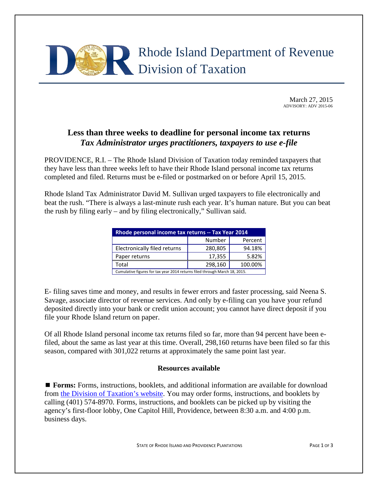

March 27, 2015 ADVISORY: ADV 2015-06

## **Less than three weeks to deadline for personal income tax returns** *Tax Administrator urges practitioners, taxpayers to use e-file*

PROVIDENCE, R.I. – The Rhode Island Division of Taxation today reminded taxpayers that they have less than three weeks left to have their Rhode Island personal income tax returns completed and filed. Returns must be e-filed or postmarked on or before April 15, 2015.

Rhode Island Tax Administrator David M. Sullivan urged taxpayers to file electronically and beat the rush. "There is always a last-minute rush each year. It's human nature. But you can beat the rush by filing early – and by filing electronically," Sullivan said.

| Rhode personal income tax returns -- Tax Year 2014                         |         |         |  |
|----------------------------------------------------------------------------|---------|---------|--|
|                                                                            | Number  | Percent |  |
| Electronically filed returns                                               | 280,805 | 94.18%  |  |
| Paper returns                                                              | 17,355  | 5.82%   |  |
| Total                                                                      | 298,160 | 100.00% |  |
| Cumulative figures for tax year 2014 returns filed through March 18, 2015. |         |         |  |

E- filing saves time and money, and results in fewer errors and faster processing, said Neena S. Savage, associate director of revenue services. And only by e-filing can you have your refund deposited directly into your bank or credit union account; you cannot have direct deposit if you file your Rhode Island return on paper.

Of all Rhode Island personal income tax returns filed so far, more than 94 percent have been efiled, about the same as last year at this time. Overall, 298,160 returns have been filed so far this season, compared with 301,022 returns at approximately the same point last year.

## **Resources available**

**Forms:** Forms, instructions, booklets, and additional information are available for download from [the Division of Taxation's website.](http://www.tax.ri.gov/) You may order forms, instructions, and booklets by calling (401) 574-8970. Forms, instructions, and booklets can be picked up by visiting the agency's first-floor lobby, One Capitol Hill, Providence, between 8:30 a.m. and 4:00 p.m. business days.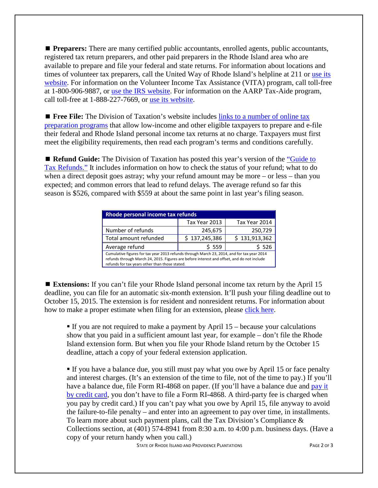**Preparers:** There are many certified public accountants, enrolled agents, public accountants, registered tax return preparers, and other paid preparers in the Rhode Island area who are available to prepare and file your federal and state returns. For information about locations and times of volunteer tax preparers, call the United Way of Rhode Island's helpline at 211 or [use its](http://www.211ri.org/) [website.](http://www.211ri.org/) For information on the Volunteer Income Tax Assistance (VITA) program, call toll-free at 1-800-906-9887, or [use the IRS website.](http://www.irs.gov/Individuals/Free-Tax-Return-Preparation-for-You-by-Volunteers) For information on the AARP Tax-Aide program, call toll-free at 1-888-227-7669, or use its [website.](http://www.aarp.org/money/taxes/aarp_taxaide/)

**Figurer File:** The Division of Taxation's website includes links to a number of online tax [preparation programs](http://www.tax.ri.gov/misc/efile.php) that allow low-income and other eligible taxpayers to prepare and e-file their federal and Rhode Island personal income tax returns at no charge. Taxpayers must first meet the eligibility requirements, then read each program's terms and conditions carefully.

**Refund Guide:** The Division of Taxation has posted this year's version of the "Guide to" [Tax Refunds."](http://www.tax.ri.gov/Tax%20Website/TAX/notice/Guide%20to%20Refunds%202015.pdf) It includes information on how to check the status of your refund; what to do when a direct deposit goes astray; why your refund amount may be more – or less – than you expected; and common errors that lead to refund delays. The average refund so far this season is \$526, compared with \$559 at about the same point in last year's filing season.

| Rhode personal income tax refunds                                                                                                                                                        |               |               |  |
|------------------------------------------------------------------------------------------------------------------------------------------------------------------------------------------|---------------|---------------|--|
|                                                                                                                                                                                          | Tax Year 2013 | Tax Year 2014 |  |
| Number of refunds                                                                                                                                                                        | 245,675       | 250,729       |  |
| Total amount refunded                                                                                                                                                                    | \$137,245,386 | \$131,913,362 |  |
| Average refund                                                                                                                                                                           | \$559         | \$ 526        |  |
| Cumulative figures for tax year 2013 refunds through March 23, 2014, and for tax year 2014<br>refunds through March 24, 2015. Figures are before interest and effect, and do not include |               |               |  |

refunds through March 24, 2015. Figures are before interest and offset, and do not include refunds for tax years other than those stated.

**Extensions:** If you can't file your Rhode Island personal income tax return by the April 15 deadline, you can file for an automatic six-month extension. It'll push your filing deadline out to October 15, 2015. The extension is for resident and nonresident returns. For information about how to make a proper estimate when filing for an extension, please [click here.](http://www.tax.ri.gov/newsletter/Rhode%20Island%20Division%20of%20Taxation%20newsletter%20-%202nd%20Q%202013.pdf)

If you are not required to make a payment by April  $15$  – because your calculations show that you paid in a sufficient amount last year, for example – don't file the Rhode Island extension form. But when you file your Rhode Island return by the October 15 deadline, attach a copy of your federal extension application.

If you have a balance due, you still must pay what you owe by April 15 or face penalty and interest charges. (It's an extension of the time to file, not of the time to pay.) If you'll have a balance due, file Form RI-4868 on paper. (If you'll have a balance due and pay it [by credit card,](http://www.tax.ri.gov/misc/creditcard.php) you don't have to file a Form RI-4868. A third-party fee is charged when you pay by credit card.) If you can't pay what you owe by April 15, file anyway to avoid the failure-to-file penalty – and enter into an agreement to pay over time, in installments. To learn more about such payment plans, call the Tax Division's Compliance  $\&$ Collections section, at (401) 574-8941 from 8:30 a.m. to 4:00 p.m. business days. (Have a copy of your return handy when you call.)